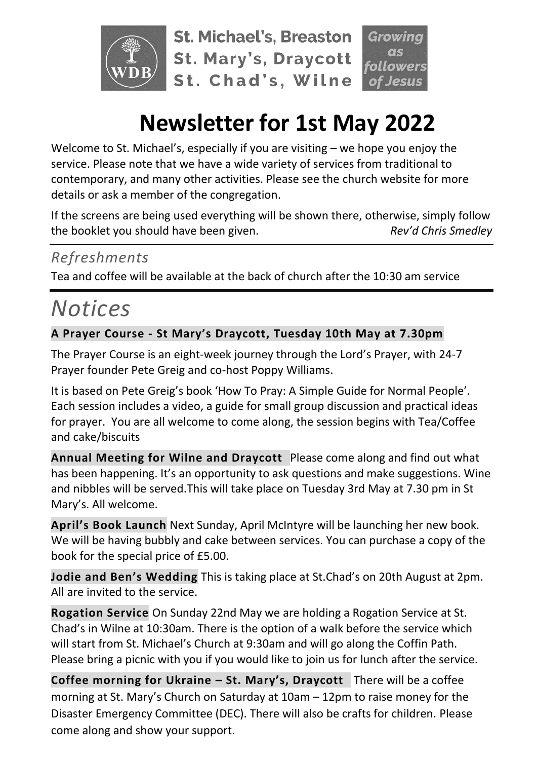

**St. Michael's, Breaston St. Mary's, Draycott** St. Chad's, Wilne

# **Newsletter for 1st May 2022**

Welcome to St. Michael's, especially if you are visiting – we hope you enjoy the service. Please note that we have a wide variety of services from traditional to contemporary, and many other activities. Please see the church website for more details or ask a member of the congregation.

If the screens are being used everything will be shown there, otherwise, simply follow the booklet you should have been given. *Rev'd Chris Smedley*

### *Refreshments*

Tea and coffee will be available at the back of church after the 10:30 am service

## *Notices*

#### **A Prayer Course - St Mary's Draycott, Tuesday 10th May at 7.30pm**

The Prayer Course is an eight-week journey through the Lord's Prayer, with 24-7 Prayer founder Pete Greig and co-host Poppy Williams.

It is based on Pete Greig's book 'How To Pray: A Simple Guide for Normal People'. Each session includes a video, a guide for small group discussion and practical ideas for prayer. You are all welcome to come along, the session begins with Tea/Coffee and cake/biscuits

**Annual Meeting for Wilne and Draycott** Please come along and find out what has been happening. It's an opportunity to ask questions and make suggestions. Wine and nibbles will be served.This will take place on Tuesday 3rd May at 7.30 pm in St Mary's. All welcome.

**April's Book Launch** Next Sunday, April McIntyre will be launching her new book. We will be having bubbly and cake between services. You can purchase a copy of the book for the special price of £5.00.

**Jodie and Ben's Wedding** This is taking place at St.Chad's on 20th August at 2pm. All are invited to the service.

**Rogation Service** On Sunday 22nd May we are holding a Rogation Service at St. Chad's in Wilne at 10:30am. There is the option of a walk before the service which will start from St. Michael's Church at 9:30am and will go along the Coffin Path. Please bring a picnic with you if you would like to join us for lunch after the service.

**Coffee morning for Ukraine – St. Mary's, Draycott** There will be a coffee morning at St. Mary's Church on Saturday at 10am – 12pm to raise money for the Disaster Emergency Committee (DEC). There will also be crafts for children. Please come along and show your support.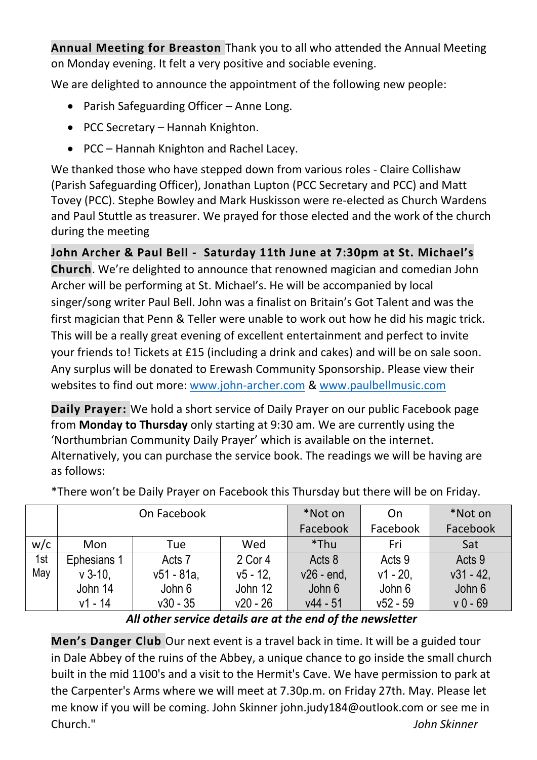**Annual Meeting for Breaston** Thank you to all who attended the Annual Meeting on Monday evening. It felt a very positive and sociable evening.

We are delighted to announce the appointment of the following new people:

- Parish Safeguarding Officer Anne Long.
- PCC Secretary Hannah Knighton.
- PCC Hannah Knighton and Rachel Lacey.

We thanked those who have stepped down from various roles - Claire Collishaw (Parish Safeguarding Officer), Jonathan Lupton (PCC Secretary and PCC) and Matt Tovey (PCC). Stephe Bowley and Mark Huskisson were re-elected as Church Wardens and Paul Stuttle as treasurer. We prayed for those elected and the work of the church during the meeting

**John Archer & Paul Bell - Saturday 11th June at 7:30pm at St. Michael's Church**. We're delighted to announce that renowned magician and comedian John Archer will be performing at St. Michael's. He will be accompanied by local singer/song writer Paul Bell. John was a finalist on Britain's Got Talent and was the first magician that Penn & Teller were unable to work out how he did his magic trick. This will be a really great evening of excellent entertainment and perfect to invite your friends to! Tickets at £15 (including a drink and cakes) and will be on sale soon. Any surplus will be donated to Erewash Community Sponsorship. Please view their websites to find out more: [www.john-archer.com](http://www.john-archer.com/) & [www.paulbellmusic.com](http://www.paulbellmusic.com/)

**Daily Prayer:** We hold a short service of Daily Prayer on our public Facebook page from **Monday to Thursday** only starting at 9:30 am. We are currently using the 'Northumbrian Community Daily Prayer' which is available on the internet. Alternatively, you can purchase the service book. The readings we will be having are as follows:

|     |             | On Facebook |             | *Not on      | On         | *Not on      |
|-----|-------------|-------------|-------------|--------------|------------|--------------|
|     |             |             |             | Facebook     | Facebook   | Facebook     |
| w/c | Mon         | Tue         | Wed         | *Thu         | Fri        | Sat          |
| 1st | Ephesians 1 | Acts 7      | 2 Cor 4     | Acts 8       | Acts 9     | Acts 9       |
| May | $v$ 3-10.   | $v51 - 81a$ | $v5 - 12$ . | $v26$ - end, | $v1 - 20.$ | $v31 - 42$ , |
|     | John 14     | John 6      | John 12     | John 6       | John 6     | John 6       |
|     | $v1 - 14$   | $v30 - 35$  | $v20 - 26$  | $v44 - 51$   | $v52 - 59$ | $v = 69$     |

\*There won't be Daily Prayer on Facebook this Thursday but there will be on Friday.

*All other service details are at the end of the newsletter*

**Men's Danger Club** Our next event is a travel back in time. It will be a guided tour in Dale Abbey of the ruins of the Abbey, a unique chance to go inside the small church built in the mid 1100's and a visit to the Hermit's Cave. We have permission to park at the Carpenter's Arms where we will meet at 7.30p.m. on Friday 27th. May. Please let me know if you will be coming. John Skinner john.judy184@outlook.com or see me in Church." *John Skinner*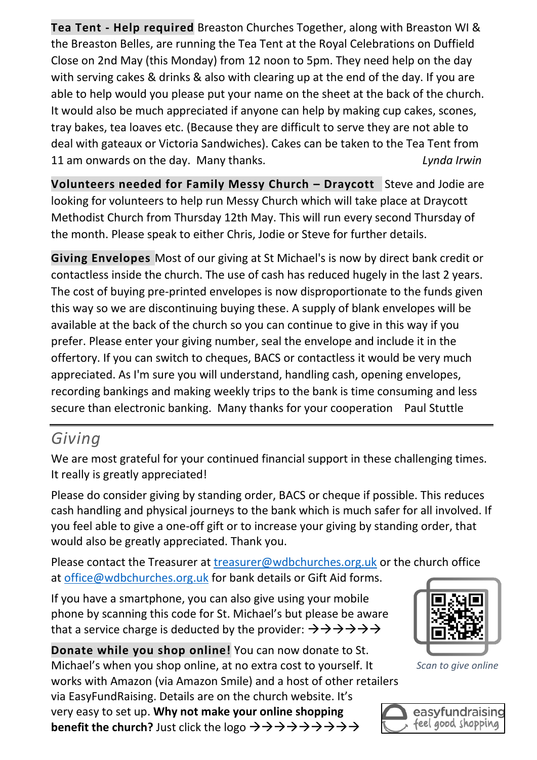**Tea Tent - Help required** Breaston Churches Together, along with Breaston WI & the Breaston Belles, are running the Tea Tent at the Royal Celebrations on Duffield Close on 2nd May (this Monday) from 12 noon to 5pm. They need help on the day with serving cakes & drinks & also with clearing up at the end of the day. If you are able to help would you please put your name on the sheet at the back of the church. It would also be much appreciated if anyone can help by making cup cakes, scones, tray bakes, tea loaves etc. (Because they are difficult to serve they are not able to deal with gateaux or Victoria Sandwiches). Cakes can be taken to the Tea Tent from 11 am onwards on the day. Many thanks. *Lynda Irwin*

**Volunteers needed for Family Messy Church – Draycott** Steve and Jodie are looking for volunteers to help run Messy Church which will take place at Draycott Methodist Church from Thursday 12th May. This will run every second Thursday of the month. Please speak to either Chris, Jodie or Steve for further details.

**Giving Envelopes** Most of our giving at St Michael's is now by direct bank credit or contactless inside the church. The use of cash has reduced hugely in the last 2 years. The cost of buying pre-printed envelopes is now disproportionate to the funds given this way so we are discontinuing buying these. A supply of blank envelopes will be available at the back of the church so you can continue to give in this way if you prefer. Please enter your giving number, seal the envelope and include it in the offertory. If you can switch to cheques, BACS or contactless it would be very much appreciated. As I'm sure you will understand, handling cash, opening envelopes, recording bankings and making weekly trips to the bank is time consuming and less secure than electronic banking. Many thanks for your cooperation Paul Stuttle

## *Giving*

We are most grateful for your continued financial support in these challenging times. It really is greatly appreciated!

Please do consider giving by standing order, BACS or cheque if possible. This reduces cash handling and physical journeys to the bank which is much safer for all involved. If you feel able to give a one-off gift or to increase your giving by standing order, that would also be greatly appreciated. Thank you.

Please contact the Treasurer at [treasurer@wdbchurches.org.uk](mailto:treasurer@wdbchurches.org.uk) or the church office at [office@wdbchurches.org.uk](mailto:office@wdbchurches.org.uk) for bank details or Gift Aid forms.

If you have a smartphone, you can also give using your mobile phone by scanning this code for St. Michael's but please be aware that a service charge is deducted by the provider:  $\rightarrow \rightarrow \rightarrow \rightarrow \rightarrow \rightarrow$ 

**Donate while you shop online!** You can now donate to St. Michael's when you shop online, at no extra cost to yourself. It works with Amazon (via Amazon Smile) and a host of other retailers via EasyFundRaising. Details are on the [church website](http://www.stmichaelsbreaston.org.uk/index.php/113-news/236-giving-online). It's very easy to set up. **Why not make your online shopping benefit the church?** Just click the logo →→→→→→→→→



*Scan to give online*